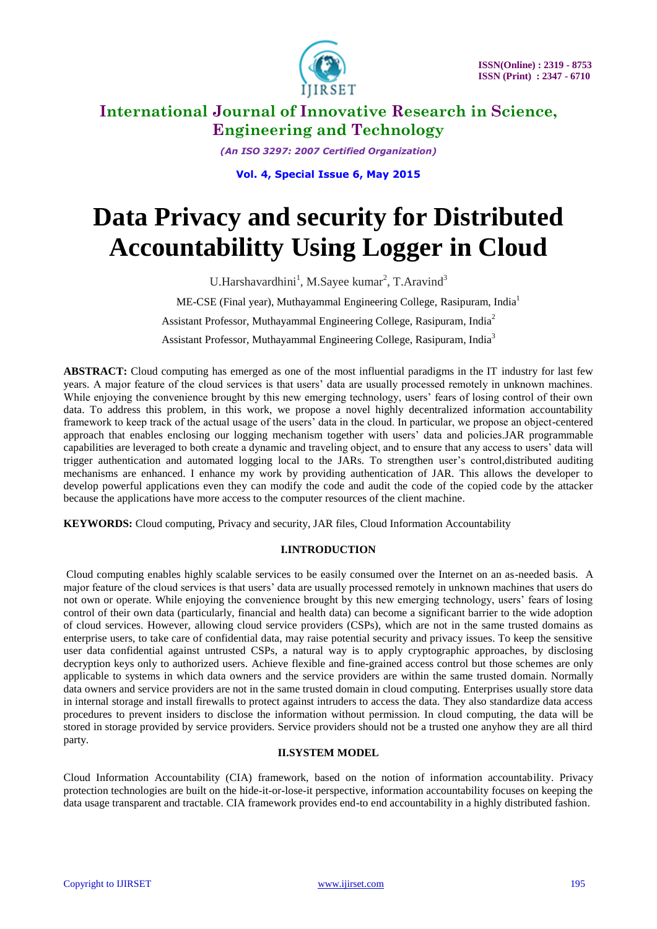

*(An ISO 3297: 2007 Certified Organization)*

**Vol. 4, Special Issue 6, May 2015**

# **Data Privacy and security for Distributed Accountabilitty Using Logger in Cloud**

U.Harshavardhini<sup>1</sup>, M.Sayee kumar<sup>2</sup>, T.Aravind<sup>3</sup> ME-CSE (Final year), Muthayammal Engineering College, Rasipuram, India<sup>1</sup> Assistant Professor, Muthayammal Engineering College, Rasipuram, India<sup>2</sup> Assistant Professor, Muthayammal Engineering College, Rasipuram, India<sup>3</sup>

**ABSTRACT:** Cloud computing has emerged as one of the most influential paradigms in the IT industry for last few years. A major feature of the cloud services is that users' data are usually processed remotely in unknown machines. While enjoying the convenience brought by this new emerging technology, users' fears of losing control of their own data. To address this problem, in this work, we propose a novel highly decentralized information accountability framework to keep track of the actual usage of the users' data in the cloud. In particular, we propose an object-centered approach that enables enclosing our logging mechanism together with users' data and policies.JAR programmable capabilities are leveraged to both create a dynamic and traveling object, and to ensure that any access to users' data will trigger authentication and automated logging local to the JARs. To strengthen user's control,distributed auditing mechanisms are enhanced. I enhance my work by providing authentication of JAR. This allows the developer to develop powerful applications even they can modify the code and audit the code of the copied code by the attacker because the applications have more access to the computer resources of the client machine.

**KEYWORDS:** Cloud computing, Privacy and security, JAR files, Cloud Information Accountability

#### **I.INTRODUCTION**

Cloud computing enables highly scalable services to be easily consumed over the Internet on an as-needed basis. A major feature of the cloud services is that users' data are usually processed remotely in unknown machines that users do not own or operate. While enjoying the convenience brought by this new emerging technology, users' fears of losing control of their own data (particularly, financial and health data) can become a significant barrier to the wide adoption of cloud services. However, allowing cloud service providers (CSPs), which are not in the same trusted domains as enterprise users, to take care of confidential data, may raise potential security and privacy issues. To keep the sensitive user data confidential against untrusted CSPs, a natural way is to apply cryptographic approaches, by disclosing decryption keys only to authorized users. Achieve flexible and fine-grained access control but those schemes are only applicable to systems in which data owners and the service providers are within the same trusted domain. Normally data owners and service providers are not in the same trusted domain in cloud computing. Enterprises usually store data in internal storage and install firewalls to protect against intruders to access the data. They also standardize data access procedures to prevent insiders to disclose the information without permission. In cloud computing, the data will be stored in storage provided by service providers. Service providers should not be a trusted one anyhow they are all third party.

#### **II.SYSTEM MODEL**

Cloud Information Accountability (CIA) framework, based on the notion of information accountability. Privacy protection technologies are built on the hide-it-or-lose-it perspective, information accountability focuses on keeping the data usage transparent and tractable. CIA framework provides end-to end accountability in a highly distributed fashion.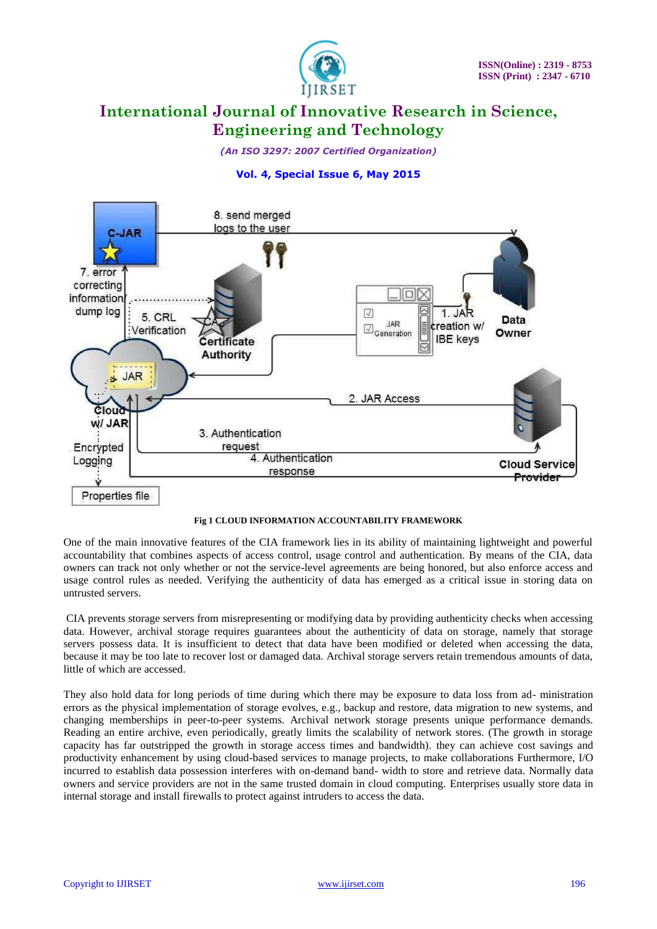

*(An ISO 3297: 2007 Certified Organization)*

## **Vol. 4, Special Issue 6, May 2015**



#### **Fig 1 CLOUD INFORMATION ACCOUNTABILITY FRAMEWORK**

One of the main innovative features of the CIA framework lies in its ability of maintaining lightweight and powerful accountability that combines aspects of access control, usage control and authentication. By means of the CIA, data owners can track not only whether or not the service-level agreements are being honored, but also enforce access and usage control rules as needed. Verifying the authenticity of data has emerged as a critical issue in storing data on untrusted servers.

CIA prevents storage servers from misrepresenting or modifying data by providing authenticity checks when accessing data. However, archival storage requires guarantees about the authenticity of data on storage, namely that storage servers possess data. It is insufficient to detect that data have been modified or deleted when accessing the data, because it may be too late to recover lost or damaged data. Archival storage servers retain tremendous amounts of data, little of which are accessed.

They also hold data for long periods of time during which there may be exposure to data loss from ad- ministration errors as the physical implementation of storage evolves, e.g., backup and restore, data migration to new systems, and changing memberships in peer-to-peer systems. Archival network storage presents unique performance demands. Reading an entire archive, even periodically, greatly limits the scalability of network stores. (The growth in storage capacity has far outstripped the growth in storage access times and bandwidth). they can achieve cost savings and productivity enhancement by using cloud-based services to manage projects, to make collaborations Furthermore, I/O incurred to establish data possession interferes with on-demand band- width to store and retrieve data. Normally data owners and service providers are not in the same trusted domain in cloud computing. Enterprises usually store data in internal storage and install firewalls to protect against intruders to access the data.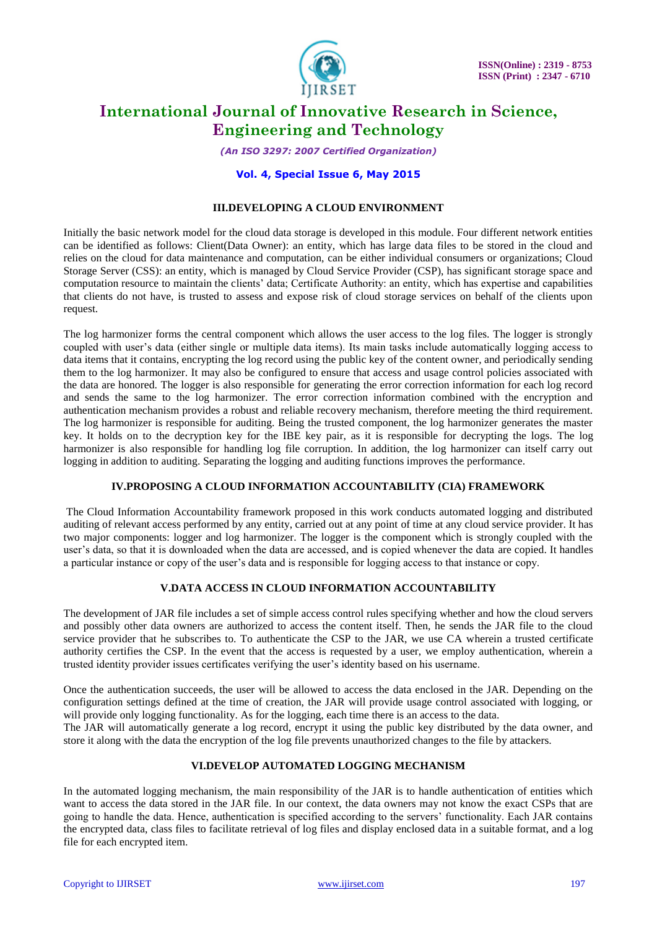

*(An ISO 3297: 2007 Certified Organization)*

#### **Vol. 4, Special Issue 6, May 2015**

#### **III.DEVELOPING A CLOUD ENVIRONMENT**

Initially the basic network model for the cloud data storage is developed in this module. Four different network entities can be identified as follows: Client(Data Owner): an entity, which has large data files to be stored in the cloud and relies on the cloud for data maintenance and computation, can be either individual consumers or organizations; Cloud Storage Server (CSS): an entity, which is managed by Cloud Service Provider (CSP), has significant storage space and computation resource to maintain the clients' data; Certificate Authority: an entity, which has expertise and capabilities that clients do not have, is trusted to assess and expose risk of cloud storage services on behalf of the clients upon request.

The log harmonizer forms the central component which allows the user access to the log files. The logger is strongly coupled with user's data (either single or multiple data items). Its main tasks include automatically logging access to data items that it contains, encrypting the log record using the public key of the content owner, and periodically sending them to the log harmonizer. It may also be configured to ensure that access and usage control policies associated with the data are honored. The logger is also responsible for generating the error correction information for each log record and sends the same to the log harmonizer. The error correction information combined with the encryption and authentication mechanism provides a robust and reliable recovery mechanism, therefore meeting the third requirement. The log harmonizer is responsible for auditing. Being the trusted component, the log harmonizer generates the master key. It holds on to the decryption key for the IBE key pair, as it is responsible for decrypting the logs. The log harmonizer is also responsible for handling log file corruption. In addition, the log harmonizer can itself carry out logging in addition to auditing. Separating the logging and auditing functions improves the performance.

#### **IV.PROPOSING A CLOUD INFORMATION ACCOUNTABILITY (CIA) FRAMEWORK**

The Cloud Information Accountability framework proposed in this work conducts automated logging and distributed auditing of relevant access performed by any entity, carried out at any point of time at any cloud service provider. It has two major components: logger and log harmonizer. The logger is the component which is strongly coupled with the user's data, so that it is downloaded when the data are accessed, and is copied whenever the data are copied. It handles a particular instance or copy of the user's data and is responsible for logging access to that instance or copy.

#### **V.DATA ACCESS IN CLOUD INFORMATION ACCOUNTABILITY**

The development of JAR file includes a set of simple access control rules specifying whether and how the cloud servers and possibly other data owners are authorized to access the content itself. Then, he sends the JAR file to the cloud service provider that he subscribes to. To authenticate the CSP to the JAR, we use CA wherein a trusted certificate authority certifies the CSP. In the event that the access is requested by a user, we employ authentication, wherein a trusted identity provider issues certificates verifying the user's identity based on his username.

Once the authentication succeeds, the user will be allowed to access the data enclosed in the JAR. Depending on the configuration settings defined at the time of creation, the JAR will provide usage control associated with logging, or will provide only logging functionality. As for the logging, each time there is an access to the data.

The JAR will automatically generate a log record, encrypt it using the public key distributed by the data owner, and store it along with the data the encryption of the log file prevents unauthorized changes to the file by attackers.

### **VI.DEVELOP AUTOMATED LOGGING MECHANISM**

In the automated logging mechanism, the main responsibility of the JAR is to handle authentication of entities which want to access the data stored in the JAR file. In our context, the data owners may not know the exact CSPs that are going to handle the data. Hence, authentication is specified according to the servers' functionality. Each JAR contains the encrypted data, class files to facilitate retrieval of log files and display enclosed data in a suitable format, and a log file for each encrypted item.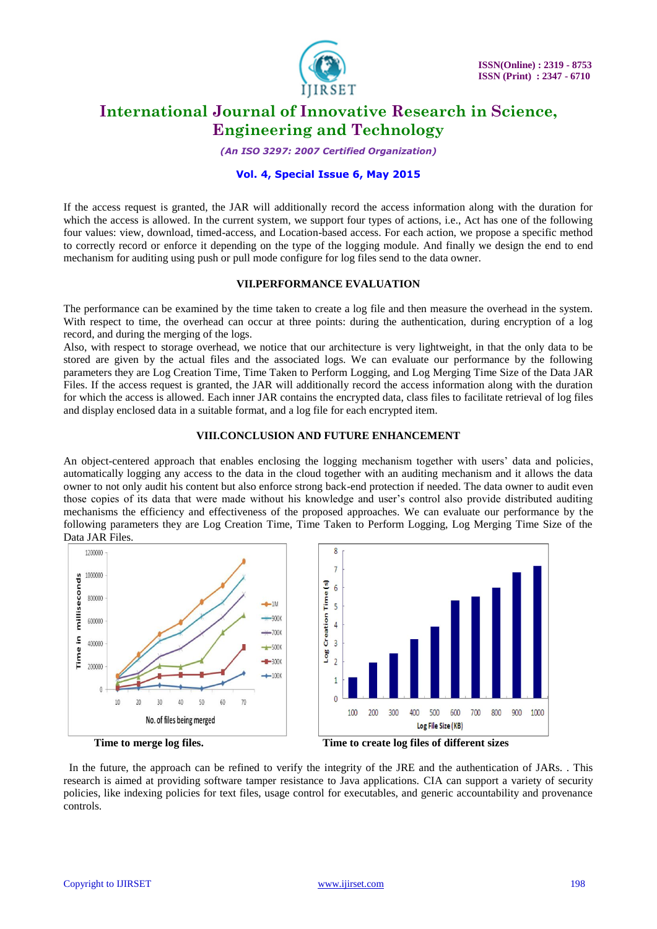

*(An ISO 3297: 2007 Certified Organization)*

#### **Vol. 4, Special Issue 6, May 2015**

If the access request is granted, the JAR will additionally record the access information along with the duration for which the access is allowed. In the current system, we support four types of actions, i.e., Act has one of the following four values: view, download, timed-access, and Location-based access. For each action, we propose a specific method to correctly record or enforce it depending on the type of the logging module. And finally we design the end to end mechanism for auditing using push or pull mode configure for log files send to the data owner.

### **VII.PERFORMANCE EVALUATION**

The performance can be examined by the time taken to create a log file and then measure the overhead in the system. With respect to time, the overhead can occur at three points: during the authentication, during encryption of a log record, and during the merging of the logs.

Also, with respect to storage overhead, we notice that our architecture is very lightweight, in that the only data to be stored are given by the actual files and the associated logs. We can evaluate our performance by the following parameters they are Log Creation Time, Time Taken to Perform Logging, and Log Merging Time Size of the Data JAR Files. If the access request is granted, the JAR will additionally record the access information along with the duration for which the access is allowed. Each inner JAR contains the encrypted data, class files to facilitate retrieval of log files and display enclosed data in a suitable format, and a log file for each encrypted item.

#### **VIII.CONCLUSION AND FUTURE ENHANCEMENT**

An object-centered approach that enables enclosing the logging mechanism together with users' data and policies, automatically logging any access to the data in the cloud together with an auditing mechanism and it allows the data owner to not only audit his content but also enforce strong back-end protection if needed. The data owner to audit even those copies of its data that were made without his knowledge and user's control also provide distributed auditing mechanisms the efficiency and effectiveness of the proposed approaches. We can evaluate our performance by the following parameters they are Log Creation Time, Time Taken to Perform Logging, Log Merging Time Size of the Data JAR Files.



 In the future, the approach can be refined to verify the integrity of the JRE and the authentication of JARs. . This research is aimed at providing software tamper resistance to Java applications. CIA can support a variety of security policies, like indexing policies for text files, usage control for executables, and generic accountability and provenance controls.